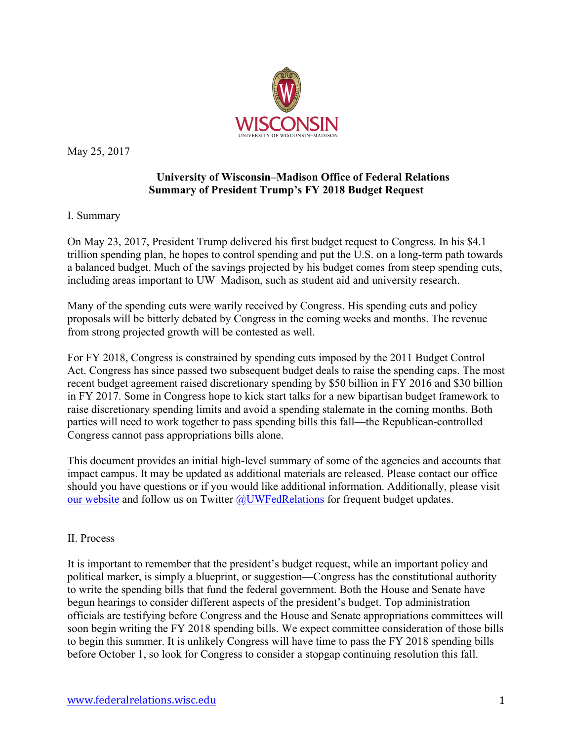

May 25, 2017

# **University of Wisconsin–Madison Office of Federal Relations Summary of President Trump's FY 2018 Budget Request**

## I. Summary

On May 23, 2017, President Trump delivered his first budget request to Congress. In his \$4.1 trillion spending plan, he hopes to control spending and put the U.S. on a long-term path towards a balanced budget. Much of the savings projected by his budget comes from steep spending cuts, including areas important to UW–Madison, such as student aid and university research.

Many of the spending cuts were warily received by Congress. His spending cuts and policy proposals will be bitterly debated by Congress in the coming weeks and months. The revenue from strong projected growth will be contested as well.

For FY 2018, Congress is constrained by spending cuts imposed by the 2011 Budget Control Act. Congress has since passed two subsequent budget deals to raise the spending caps. The most recent budget agreement raised discretionary spending by \$50 billion in FY 2016 and \$30 billion in FY 2017. Some in Congress hope to kick start talks for a new bipartisan budget framework to raise discretionary spending limits and avoid a spending stalemate in the coming months. Both parties will need to work together to pass spending bills this fall—the Republican-controlled Congress cannot pass appropriations bills alone.

This document provides an initial high-level summary of some of the agencies and accounts that impact campus. It may be updated as additional materials are released. Please contact our office should you have questions or if you would like additional information. Additionally, please visit our website and follow us on Twitter @UWFedRelations for frequent budget updates.

## II. Process

It is important to remember that the president's budget request, while an important policy and political marker, is simply a blueprint, or suggestion—Congress has the constitutional authority to write the spending bills that fund the federal government. Both the House and Senate have begun hearings to consider different aspects of the president's budget. Top administration officials are testifying before Congress and the House and Senate appropriations committees will soon begin writing the FY 2018 spending bills. We expect committee consideration of those bills to begin this summer. It is unlikely Congress will have time to pass the FY 2018 spending bills before October 1, so look for Congress to consider a stopgap continuing resolution this fall.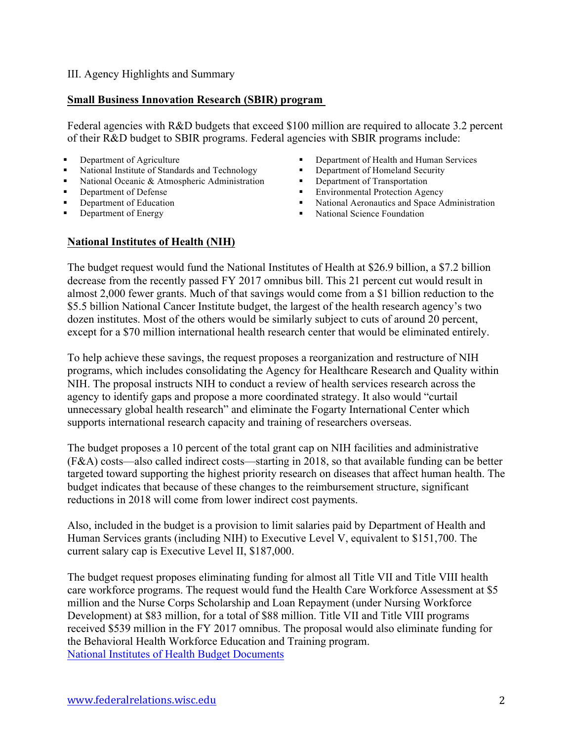#### III. Agency Highlights and Summary

#### **Small Business Innovation Research (SBIR) program**

Federal agencies with R&D budgets that exceed \$100 million are required to allocate 3.2 percent of their R&D budget to SBIR programs. Federal agencies with SBIR programs include:

#### ■ Department of Agriculture

- National Institute of Standards and Technology
- National Oceanic & Atmospheric Administration
- Department of Defense
- Department of Education
- Department of Energy
- Department of Health and Human Services<br>■ Department of Homeland Security
- § Department of Homeland Security
- Department of Transportation<br>■ Environmental Protection Age
- § Environmental Protection Agency
- National Aeronautics and Space Administration
- § National Science Foundation

#### **National Institutes of Health (NIH)**

The budget request would fund the National Institutes of Health at \$26.9 billion, a \$7.2 billion decrease from the recently passed FY 2017 omnibus bill. This 21 percent cut would result in almost 2,000 fewer grants. Much of that savings would come from a \$1 billion reduction to the \$5.5 billion National Cancer Institute budget, the largest of the health research agency's two dozen institutes. Most of the others would be similarly subject to cuts of around 20 percent, except for a \$70 million international health research center that would be eliminated entirely.

To help achieve these savings, the request proposes a reorganization and restructure of NIH programs, which includes consolidating the Agency for Healthcare Research and Quality within NIH. The proposal instructs NIH to conduct a review of health services research across the agency to identify gaps and propose a more coordinated strategy. It also would "curtail unnecessary global health research" and eliminate the Fogarty International Center which supports international research capacity and training of researchers overseas.

The budget proposes a 10 percent of the total grant cap on NIH facilities and administrative (F&A) costs—also called indirect costs—starting in 2018, so that available funding can be better targeted toward supporting the highest priority research on diseases that affect human health. The budget indicates that because of these changes to the reimbursement structure, significant reductions in 2018 will come from lower indirect cost payments.

Also, included in the budget is a provision to limit salaries paid by Department of Health and Human Services grants (including NIH) to Executive Level V, equivalent to \$151,700. The current salary cap is Executive Level II, \$187,000.

The budget request proposes eliminating funding for almost all Title VII and Title VIII health care workforce programs. The request would fund the Health Care Workforce Assessment at \$5 million and the Nurse Corps Scholarship and Loan Repayment (under Nursing Workforce Development) at \$83 million, for a total of \$88 million. Title VII and Title VIII programs received \$539 million in the FY 2017 omnibus. The proposal would also eliminate funding for the Behavioral Health Workforce Education and Training program. National Institutes of Health Budget Documents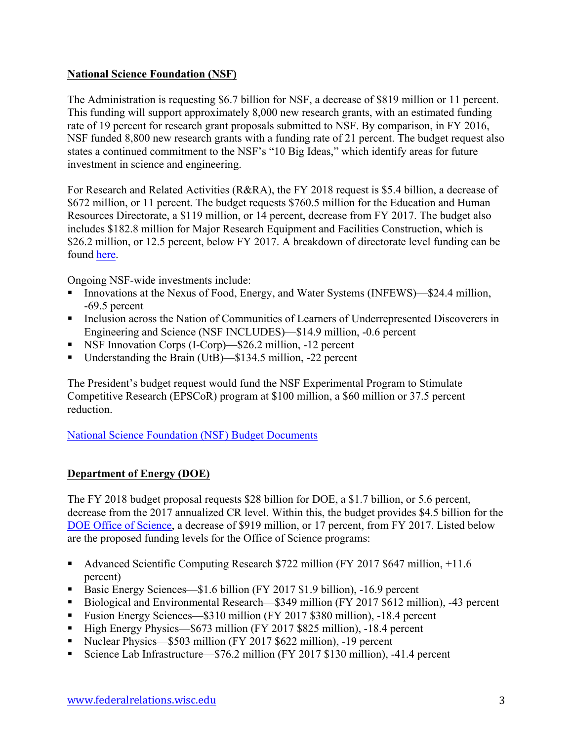# **National Science Foundation (NSF)**

The Administration is requesting \$6.7 billion for NSF, a decrease of \$819 million or 11 percent. This funding will support approximately 8,000 new research grants, with an estimated funding rate of 19 percent for research grant proposals submitted to NSF. By comparison, in FY 2016, NSF funded 8,800 new research grants with a funding rate of 21 percent. The budget request also states a continued commitment to the NSF's "10 Big Ideas," which identify areas for future investment in science and engineering.

For Research and Related Activities (R&RA), the FY 2018 request is \$5.4 billion, a decrease of \$672 million, or 11 percent. The budget requests \$760.5 million for the Education and Human Resources Directorate, a \$119 million, or 14 percent, decrease from FY 2017. The budget also includes \$182.8 million for Major Research Equipment and Facilities Construction, which is \$26.2 million, or 12.5 percent, below FY 2017. A breakdown of directorate level funding can be found here.

Ongoing NSF-wide investments include:

- Innovations at the Nexus of Food, Energy, and Water Systems (INFEWS)—\$24.4 million, -69.5 percent
- Inclusion across the Nation of Communities of Learners of Underrepresented Discoverers in Engineering and Science (NSF INCLUDES)—\$14.9 million, -0.6 percent
- NSF Innovation Corps (I-Corp)—\$26.2 million, -12 percent
- Understanding the Brain (UtB)—\$134.5 million, -22 percent

The President's budget request would fund the NSF Experimental Program to Stimulate Competitive Research (EPSCoR) program at \$100 million, a \$60 million or 37.5 percent reduction.

National Science Foundation (NSF) Budget Documents

# **Department of Energy (DOE)**

The FY 2018 budget proposal requests \$28 billion for DOE, a \$1.7 billion, or 5.6 percent, decrease from the 2017 annualized CR level. Within this, the budget provides \$4.5 billion for the DOE Office of Science, a decrease of \$919 million, or 17 percent, from FY 2017. Listed below are the proposed funding levels for the Office of Science programs:

- Advanced Scientific Computing Research \$722 million (FY 2017 \$647 million, +11.6 percent)
- § Basic Energy Sciences—\$1.6 billion (FY 2017 \$1.9 billion), -16.9 percent
- § Biological and Environmental Research—\$349 million (FY 2017 \$612 million), -43 percent
- § Fusion Energy Sciences—\$310 million (FY 2017 \$380 million), -18.4 percent
- High Energy Physics—\$673 million (FY 2017 \$825 million), -18.4 percent
- Nuclear Physics—\$503 million (FY 2017 \$622 million), -19 percent
- § Science Lab Infrastructure—\$76.2 million (FY 2017 \$130 million), -41.4 percent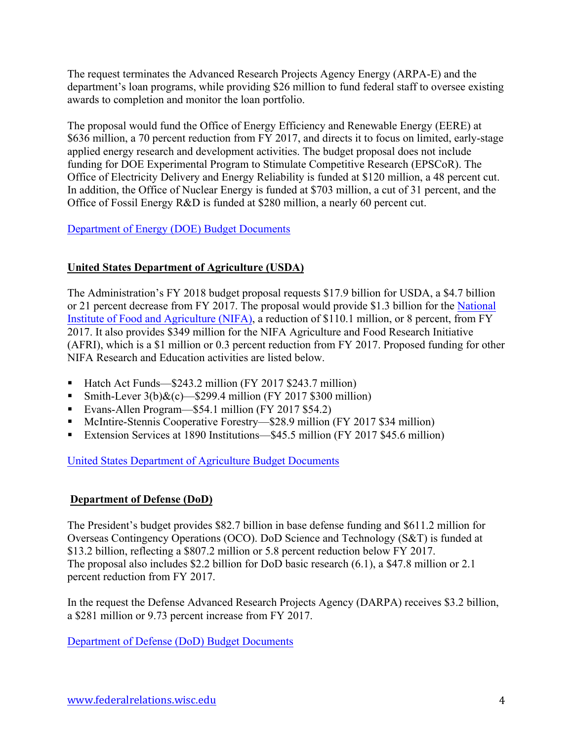The request terminates the Advanced Research Projects Agency Energy (ARPA-E) and the department's loan programs, while providing \$26 million to fund federal staff to oversee existing awards to completion and monitor the loan portfolio.

The proposal would fund the Office of Energy Efficiency and Renewable Energy (EERE) at \$636 million, a 70 percent reduction from FY 2017, and directs it to focus on limited, early-stage applied energy research and development activities. The budget proposal does not include funding for DOE Experimental Program to Stimulate Competitive Research (EPSCoR). The Office of Electricity Delivery and Energy Reliability is funded at \$120 million, a 48 percent cut. In addition, the Office of Nuclear Energy is funded at \$703 million, a cut of 31 percent, and the Office of Fossil Energy R&D is funded at \$280 million, a nearly 60 percent cut.

# Department of Energy (DOE) Budget Documents

# **United States Department of Agriculture (USDA)**

The Administration's FY 2018 budget proposal requests \$17.9 billion for USDA, a \$4.7 billion or 21 percent decrease from FY 2017. The proposal would provide \$1.3 billion for the National Institute of Food and Agriculture (NIFA), a reduction of \$110.1 million, or 8 percent, from FY 2017. It also provides \$349 million for the NIFA Agriculture and Food Research Initiative (AFRI), which is a \$1 million or 0.3 percent reduction from FY 2017. Proposed funding for other NIFA Research and Education activities are listed below.

- Hatch Act Funds—\$243.2 million (FY 2017 \$243.7 million)
- § Smith-Lever 3(b)&(c)—\$299.4 million (FY 2017 \$300 million)
- § Evans-Allen Program—\$54.1 million (FY 2017 \$54.2)
- McIntire-Stennis Cooperative Forestry—\$28.9 million (FY 2017 \$34 million)
- Extension Services at 1890 Institutions—\$45.5 million (FY 2017 \$45.6 million)

United States Department of Agriculture Budget Documents

## **Department of Defense (DoD)**

The President's budget provides \$82.7 billion in base defense funding and \$611.2 million for Overseas Contingency Operations (OCO). DoD Science and Technology (S&T) is funded at \$13.2 billion, reflecting a \$807.2 million or 5.8 percent reduction below FY 2017. The proposal also includes \$2.2 billion for DoD basic research (6.1), a \$47.8 million or 2.1 percent reduction from FY 2017.

In the request the Defense Advanced Research Projects Agency (DARPA) receives \$3.2 billion, a \$281 million or 9.73 percent increase from FY 2017.

Department of Defense (DoD) Budget Documents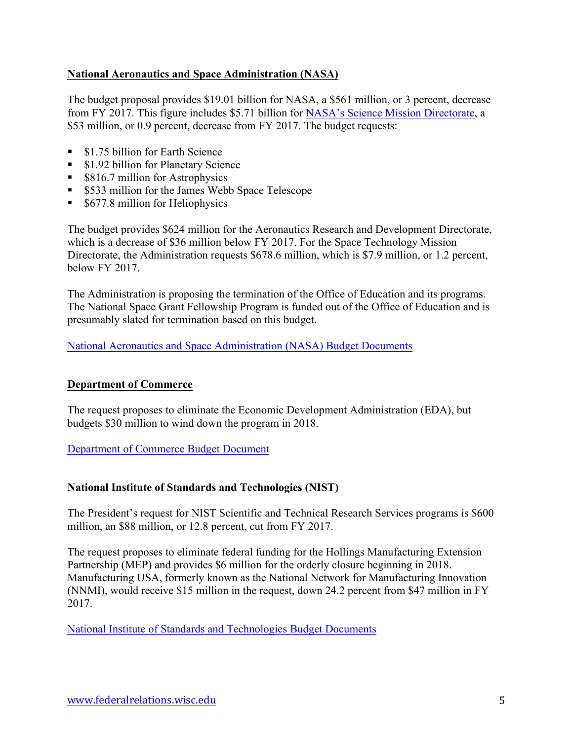# **National Aeronautics and Space Administration (NASA)**

The budget proposal provides \$19.01 billion for NASA, a \$561 million, or 3 percent, decrease from FY 2017. This figure includes \$5.71 billion for NASA's Science Mission Directorate, a \$53 million, or 0.9 percent, decrease from FY 2017. The budget requests:

- \$1.75 billion for Earth Science
- \$1.92 billion for Planetary Science
- \$816.7 million for Astrophysics
- \$533 million for the James Webb Space Telescope
- \$677.8 million for Heliophysics

The budget provides \$624 million for the Aeronautics Research and Development Directorate, which is a decrease of \$36 million below FY 2017. For the Space Technology Mission Directorate, the Administration requests \$678.6 million, which is \$7.9 million, or 1.2 percent, below FY 2017.

The Administration is proposing the termination of the Office of Education and its programs. The National Space Grant Fellowship Program is funded out of the Office of Education and is presumably slated for termination based on this budget.

National Aeronautics and Space Administration (NASA) Budget Documents

## **Department of Commerce**

The request proposes to eliminate the Economic Development Administration (EDA), but budgets \$30 million to wind down the program in 2018.

Department of Commerce Budget Document

## **National Institute of Standards and Technologies (NIST)**

The President's request for NIST Scientific and Technical Research Services programs is \$600 million, an \$88 million, or 12.8 percent, cut from FY 2017.

The request proposes to eliminate federal funding for the Hollings Manufacturing Extension Partnership (MEP) and provides \$6 million for the orderly closure beginning in 2018. Manufacturing USA, formerly known as the National Network for Manufacturing Innovation (NNMI), would receive \$15 million in the request, down 24.2 percent from \$47 million in FY 2017.

National Institute of Standards and Technologies Budget Documents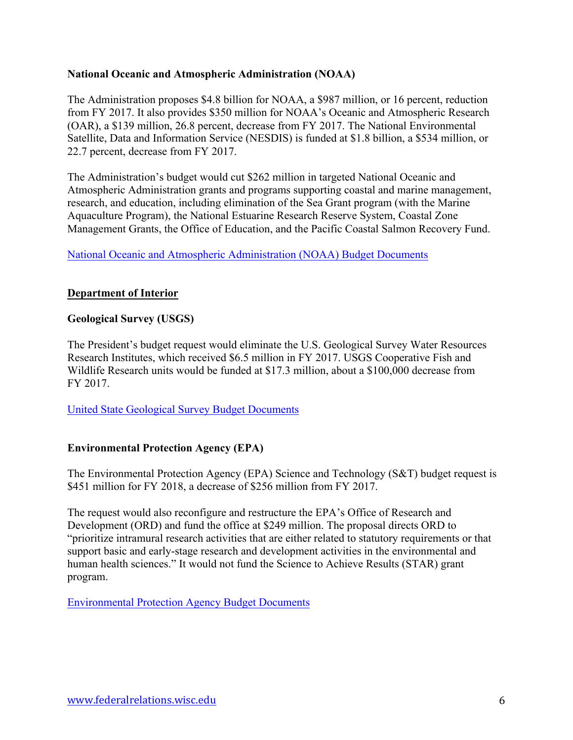#### **National Oceanic and Atmospheric Administration (NOAA)**

The Administration proposes \$4.8 billion for NOAA, a \$987 million, or 16 percent, reduction from FY 2017. It also provides \$350 million for NOAA's Oceanic and Atmospheric Research (OAR), a \$139 million, 26.8 percent, decrease from FY 2017. The National Environmental Satellite, Data and Information Service (NESDIS) is funded at \$1.8 billion, a \$534 million, or 22.7 percent, decrease from FY 2017.

The Administration's budget would cut \$262 million in targeted National Oceanic and Atmospheric Administration grants and programs supporting coastal and marine management, research, and education, including elimination of the Sea Grant program (with the Marine Aquaculture Program), the National Estuarine Research Reserve System, Coastal Zone Management Grants, the Office of Education, and the Pacific Coastal Salmon Recovery Fund.

#### National Oceanic and Atmospheric Administration (NOAA) Budget Documents

#### **Department of Interior**

#### **Geological Survey (USGS)**

The President's budget request would eliminate the U.S. Geological Survey Water Resources Research Institutes, which received \$6.5 million in FY 2017. USGS Cooperative Fish and Wildlife Research units would be funded at \$17.3 million, about a \$100,000 decrease from FY 2017.

United State Geological Survey Budget Documents

#### **Environmental Protection Agency (EPA)**

The Environmental Protection Agency (EPA) Science and Technology (S&T) budget request is \$451 million for FY 2018, a decrease of \$256 million from FY 2017.

The request would also reconfigure and restructure the EPA's Office of Research and Development (ORD) and fund the office at \$249 million. The proposal directs ORD to "prioritize intramural research activities that are either related to statutory requirements or that support basic and early-stage research and development activities in the environmental and human health sciences." It would not fund the Science to Achieve Results (STAR) grant program.

Environmental Protection Agency Budget Documents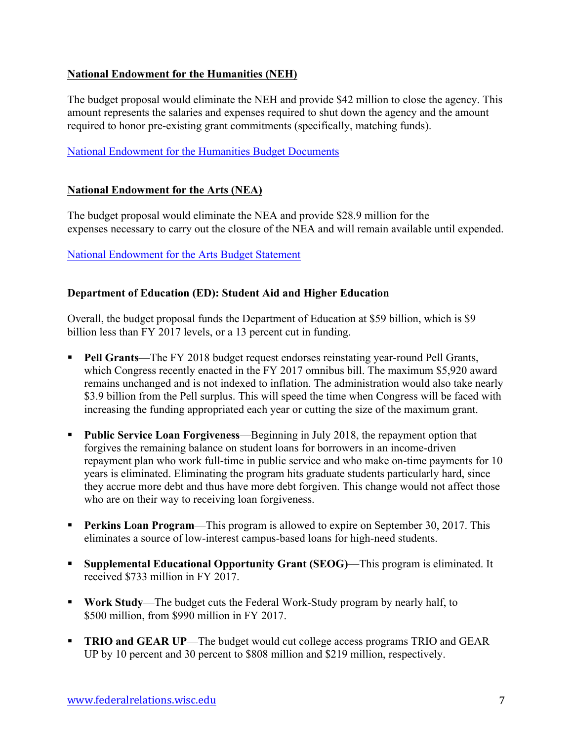# **National Endowment for the Humanities (NEH)**

The budget proposal would eliminate the NEH and provide \$42 million to close the agency. This amount represents the salaries and expenses required to shut down the agency and the amount required to honor pre-existing grant commitments (specifically, matching funds).

# National Endowment for the Humanities Budget Documents

## **National Endowment for the Arts (NEA)**

The budget proposal would eliminate the NEA and provide \$28.9 million for the expenses necessary to carry out the closure of the NEA and will remain available until expended.

## National Endowment for the Arts Budget Statement

## **Department of Education (ED): Student Aid and Higher Education**

Overall, the budget proposal funds the Department of Education at \$59 billion, which is \$9 billion less than FY 2017 levels, or a 13 percent cut in funding.

- **Pell Grants**—The FY 2018 budget request endorses reinstating year-round Pell Grants, which Congress recently enacted in the FY 2017 omnibus bill. The maximum \$5,920 award remains unchanged and is not indexed to inflation. The administration would also take nearly \$3.9 billion from the Pell surplus. This will speed the time when Congress will be faced with increasing the funding appropriated each year or cutting the size of the maximum grant.
- § **Public Service Loan Forgiveness**—Beginning in July 2018, the repayment option that forgives the remaining balance on student loans for borrowers in an income-driven repayment plan who work full-time in public service and who make on-time payments for 10 years is eliminated. Eliminating the program hits graduate students particularly hard, since they accrue more debt and thus have more debt forgiven. This change would not affect those who are on their way to receiving loan forgiveness.
- **Perkins Loan Program**—This program is allowed to expire on September 30, 2017. This eliminates a source of low-interest campus-based loans for high-need students.
- § **Supplemental Educational Opportunity Grant (SEOG)**—This program is eliminated. It received \$733 million in FY 2017.
- § **Work Study**—The budget cuts the Federal Work-Study program by nearly half, to \$500 million, from \$990 million in FY 2017.
- **TRIO and GEAR UP—The budget would cut college access programs TRIO and GEAR** UP by 10 percent and 30 percent to \$808 million and \$219 million, respectively.